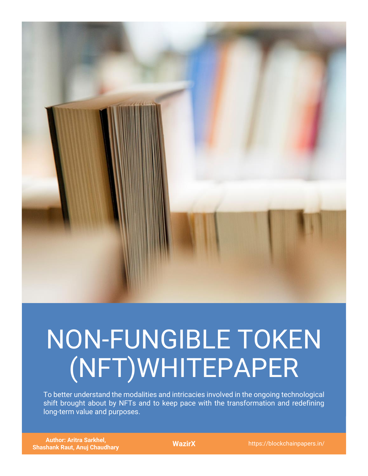

# NON-FUNGIBLE TOKEN (NFT)WHITEPAPER

To better understand the modalities and intricacies involved in the ongoing technological shift brought about by NFTs and to keep pace with the transformation and redefining long-term value and purposes.

**Author: Aritra Sarkhel, Shashank Raut, Anuj Chaudhary WazirX** https://blockchainpapers.in/<br>
Shashank Raut, Anuj Chaudhary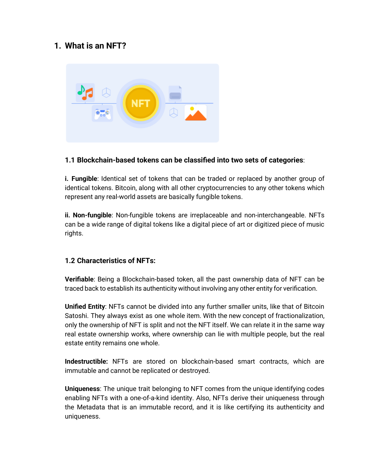## **1. What is an NFT?**



## **1.1 Blockchain-based tokens can be classified into two sets of categories**:

**i. Fungible**: Identical set of tokens that can be traded or replaced by another group of identical tokens. Bitcoin, along with all other cryptocurrencies to any other tokens which represent any real-world assets are basically fungible tokens.

**ii. Non-fungible**: Non-fungible tokens are irreplaceable and non-interchangeable. NFTs can be a wide range of digital tokens like a digital piece of art or digitized piece of music rights.

#### **1.2 Characteristics of NFTs:**

**Verifiable**: Being a Blockchain-based token, all the past ownership data of NFT can be traced back to establish its authenticity without involving any other entity for verification.

**Unified Entity**: NFTs cannot be divided into any further smaller units, like that of Bitcoin Satoshi. They always exist as one whole item. With the new concept of fractionalization, only the ownership of NFT is split and not the NFT itself. We can relate it in the same way real estate ownership works, where ownership can lie with multiple people, but the real estate entity remains one whole.

**Indestructible:** NFTs are stored on blockchain-based smart contracts, which are immutable and cannot be replicated or destroyed.

**Uniqueness**: The unique trait belonging to NFT comes from the unique identifying codes enabling NFTs with a one-of-a-kind identity. Also, NFTs derive their uniqueness through the Metadata that is an immutable record, and it is like certifying its authenticity and uniqueness.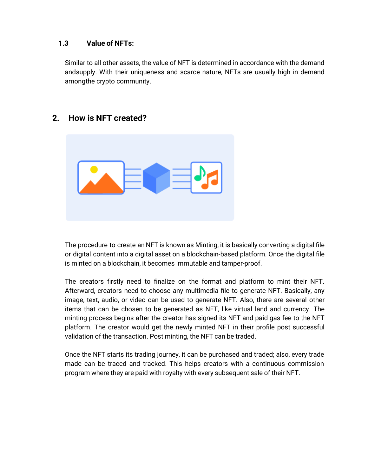### **1.3 Value of NFTs:**

Similar to all other assets, the value of NFT is determined in accordance with the demand andsupply. With their uniqueness and scarce nature, NFTs are usually high in demand amongthe crypto community.



## **2. How is NFT created?**

The procedure to create an NFT is known as Minting, it is basically converting a digital file or digital content into a digital asset on a blockchain-based platform. Once the digital file is minted on a blockchain, it becomes immutable and tamper-proof.

The creators firstly need to finalize on the format and platform to mint their NFT. Afterward, creators need to choose any multimedia file to generate NFT. Basically, any image, text, audio, or video can be used to generate NFT. Also, there are several other items that can be chosen to be generated as NFT, like virtual land and currency. The minting process begins after the creator has signed its NFT and paid gas fee to the NFT platform. The creator would get the newly minted NFT in their profile post successful validation of the transaction. Post minting, the NFT can be traded.

Once the NFT starts its trading journey, it can be purchased and traded; also, every trade made can be traced and tracked. This helps creators with a continuous commission program where they are paid with royalty with every subsequent sale of their NFT.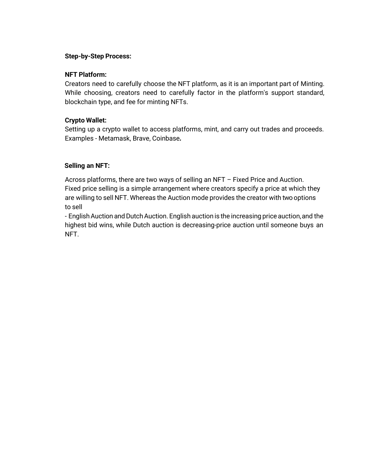#### **Step-by-Step Process:**

#### **NFT Platform:**

Creators need to carefully choose the NFT platform, as it is an important part of Minting. While choosing, creators need to carefully factor in the platform's support standard, blockchain type, and fee for minting NFTs.

#### **Crypto Wallet:**

Setting up a crypto wallet to access platforms, mint, and carry out trades and proceeds. Examples - Metamask, Brave, Coinbase*.*

#### **Selling an NFT:**

Across platforms, there are two ways of selling an NFT – Fixed Price and Auction. Fixed price selling is a simple arrangement where creators specify a price at which they are willing to sell NFT. Whereas the Auction mode provides the creator with two options to sell

- English Auction and Dutch Auction. English auction is the increasing price auction, and the highest bid wins, while Dutch auction is decreasing-price auction until someone buys an NFT.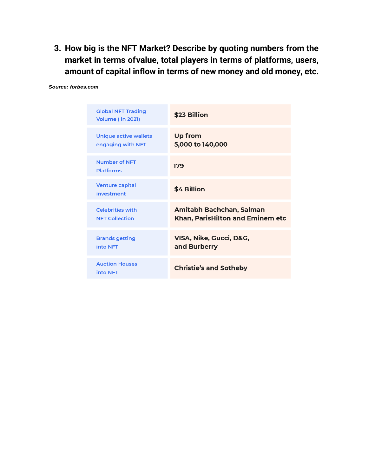**3. How big is the NFT Market? Describe by quoting numbers from the market in terms ofvalue, total players in terms of platforms, users, amount of capital inflow in terms of new money and old money, etc.**

Amitabh Bachchan, Salman

VISA, Nike, Gucci, D&G,

**Christie's and Sotheby** 

and Burberry

Khan, ParisHilton and Eminem etc

| <b>Global NFT Trading</b><br><b>Volume (in 2021)</b> | \$23 Billion                |
|------------------------------------------------------|-----------------------------|
| <b>Unique active wallets</b><br>engaging with NFT    | Up from<br>5,000 to 140,000 |
| <b>Number of NFT</b><br><b>Platforms</b>             | 179                         |
| <b>Venture capital</b><br>investment                 | \$4 Billion                 |

**Celebrities with** 

**NFT Collection** 

**Brands getting** into NFT

**Auction Houses** 

into NFT

*Source: forbes.com*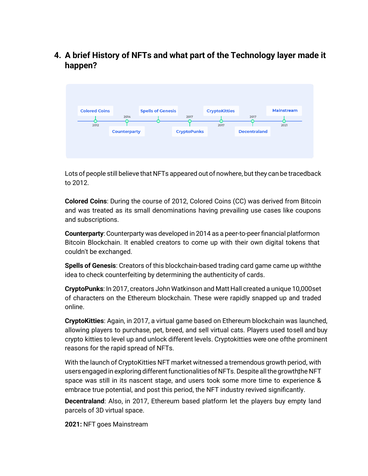**4. A brief History of NFTs and what part of the Technology layer made it happen?**



Lots of people still believe that NFTs appeared out of nowhere, but they can be tracedback to 2012.

**Colored Coins**: During the course of 2012, Colored Coins (CC) was derived from Bitcoin and was treated as its small denominations having prevailing use cases like coupons and subscriptions.

**Counterparty**: Counterparty was developed in 2014 as a peer-to-peer financial platformon Bitcoin Blockchain. It enabled creators to come up with their own digital tokens that couldn't be exchanged.

**Spells of Genesis**: Creators of this blockchain-based trading card game came up withthe idea to check counterfeiting by determining the authenticity of cards.

**CryptoPunks**: In 2017, creators John Watkinson and Matt Hall created a unique 10,000set of characters on the Ethereum blockchain. These were rapidly snapped up and traded online.

**CryptoKitties**: Again, in 2017, a virtual game based on Ethereum blockchain was launched, allowing players to purchase, pet, breed, and sell virtual cats. Players used tosell and buy crypto kitties to level up and unlock different levels. Cryptokitties were one ofthe prominent reasons for the rapid spread of NFTs.

With the launch of CryptoKitties NFT market witnessed a tremendous growth period, with users engaged in exploring different functionalities of NFTs. Despite all the growth the NFT space was still in its nascent stage, and users took some more time to experience & embrace true potential, and post this period, the NFT industry revived significantly.

**Decentraland**: Also, in 2017, Ethereum based platform let the players buy empty land parcels of 3D virtual space.

**2021:** NFT goes Mainstream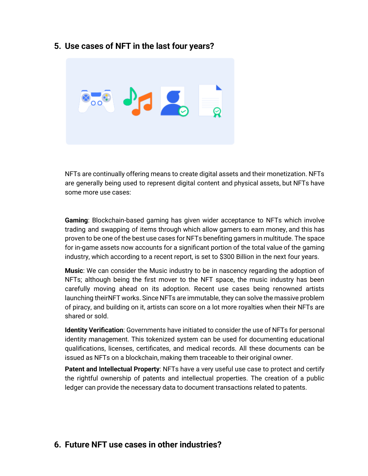## **5. Use cases of NFT in the last four years?**



NFTs are continually offering means to create digital assets and their monetization. NFTs are generally being used to represent digital content and physical assets, but NFTs have some more use cases:

**Gaming**: Blockchain-based gaming has given wider acceptance to NFTs which involve trading and swapping of items through which allow gamers to earn money, and this has proven to be one of the best use cases for NFTs benefiting gamers in multitude. The space for in-game assets now accounts for a significant portion of the total value of the gaming industry, which according to a recent report, is set to \$300 Billion in the next four years.

**Music**: We can consider the Music industry to be in nascency regarding the adoption of NFTs; although being the first mover to the NFT space, the music industry has been carefully moving ahead on its adoption. Recent use cases being renowned artists launching theirNFT works. Since NFTs are immutable, they can solve the massive problem of piracy, and building on it, artists can score on a lot more royalties when their NFTs are shared or sold.

**Identity Verification**: Governments have initiated to consider the use of NFTs for personal identity management. This tokenized system can be used for documenting educational qualifications, licenses, certificates, and medical records. All these documents can be issued as NFTs on a blockchain, making them traceable to their original owner.

**Patent and Intellectual Property**: NFTs have a very useful use case to protect and certify the rightful ownership of patents and intellectual properties. The creation of a public ledger can provide the necessary data to document transactions related to patents.

## **6. Future NFT use cases in other industries?**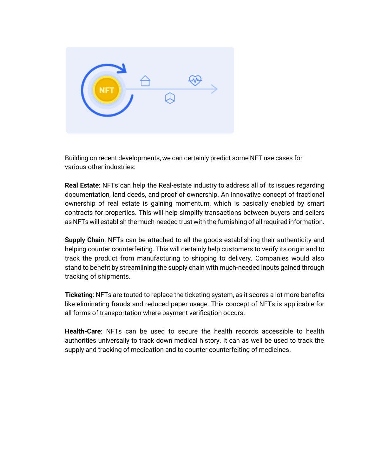

Building on recent developments, we can certainly predict some NFT use cases for various other industries:

**Real Estate**: NFTs can help the Real-estate industry to address all of its issues regarding documentation, land deeds, and proof of ownership. An innovative concept of fractional ownership of real estate is gaining momentum, which is basically enabled by smart contracts for properties. This will help simplify transactions between buyers and sellers as NFTs will establish the much-needed trust with the furnishing of allrequired information.

**Supply Chain**: NFTs can be attached to all the goods establishing their authenticity and helping counter counterfeiting. This will certainly help customers to verify its origin and to track the product from manufacturing to shipping to delivery. Companies would also stand to benefit by streamlining the supply chain with much-needed inputs gained through tracking of shipments.

**Ticketing**: NFTs are touted to replace the ticketing system, as it scores a lot more benefits like eliminating frauds and reduced paper usage. This concept of NFTs is applicable for all forms of transportation where payment verification occurs.

**Health-Care**: NFTs can be used to secure the health records accessible to health authorities universally to track down medical history. It can as well be used to track the supply and tracking of medication and to counter counterfeiting of medicines.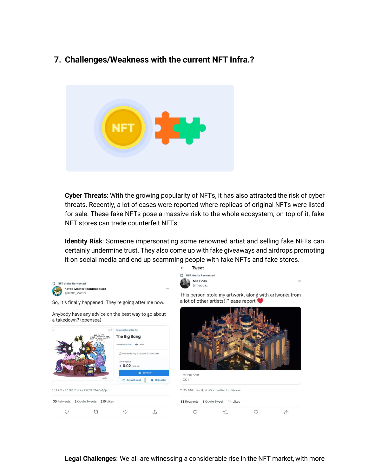## **7. Challenges/Weakness with the current NFT Infra.?**



**Cyber Threats**: With the growing popularity of NFTs, it has also attracted the risk of cyber threats. Recently, a lot of cases were reported where replicas of original NFTs were listed for sale. These fake NFTs pose a massive risk to the whole ecosystem; on top of it, fake NFT stores can trade counterfeit NFTs.

**Identity Risk**: Someone impersonating some renowned artist and selling fake NFTs can certainly undermine trust. They also come up with fake giveaways and airdrops promoting it on social media and end up scamming people with fake NFTs and fake stores.

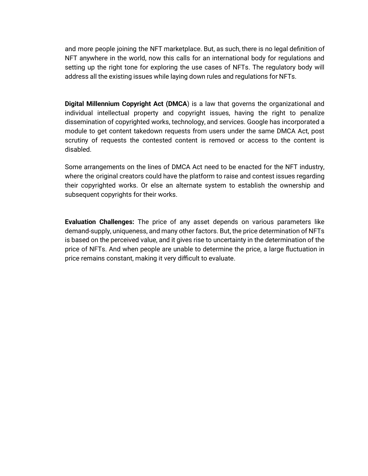and more people joining the NFT marketplace. But, as such, there is no legal definition of NFT anywhere in the world, now this calls for an international body for regulations and setting up the right tone for exploring the use cases of NFTs. The regulatory body will address all the existing issues while laying down rules and regulations for NFTs.

**Digital Millennium Copyright Act (DMCA**) is a law that governs the organizational and individual intellectual property and copyright issues, having the right to penalize dissemination of copyrighted works, technology, and services. Google has incorporated a module to get content takedown requests from users under the same DMCA Act, post scrutiny of requests the contested content is removed or access to the content is disabled.

Some arrangements on the lines of DMCA Act need to be enacted for the NFT industry, where the original creators could have the platform to raise and contest issues regarding their copyrighted works. Or else an alternate system to establish the ownership and subsequent copyrights for their works.

**Evaluation Challenges:** The price of any asset depends on various parameters like demand-supply, uniqueness, and many other factors. But, the price determination of NFTs is based on the perceived value, and it gives rise to uncertainty in the determination of the price of NFTs. And when people are unable to determine the price, a large fluctuation in price remains constant, making it very difficult to evaluate.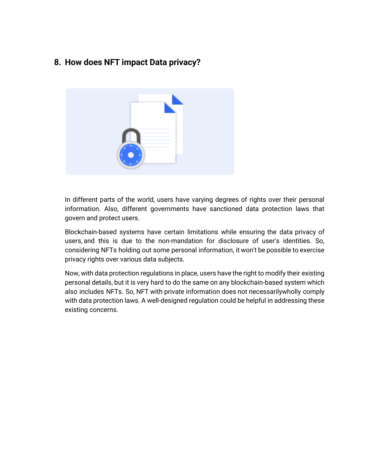# **8. How does NFT impact Data privacy?**



In different parts of the world, users have varying degrees of rights over their personal information. Also, different governments have sanctioned data protection laws that govern and protect users.

Blockchain-based systems have certain limitations while ensuring the data privacy of users, and this is due to the non-mandation for disclosure of user's identities. So, considering NFTs holding out some personal information, it won't be possible to exercise privacy rights over various data subjects.

Now, with data protection regulations in place, users have the right to modify their existing personal details, but it is very hard to do the same on any blockchain-based system which also includes NFTs. So, NFT with private information does not necessarilywholly comply with data protection laws. A well-designed regulation could be helpful in addressing these existing concerns.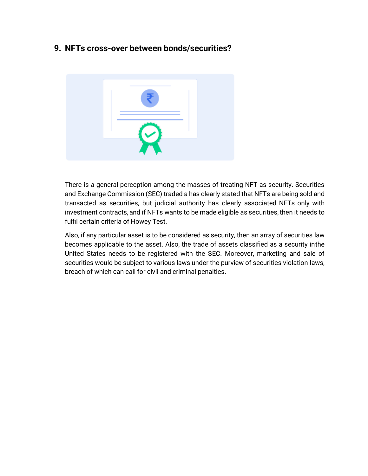## **9. NFTs cross-over between bonds/securities?**



There is a general perception among the masses of treating NFT as security. Securities and Exchange Commission (SEC) traded a has clearly stated that NFTs are being sold and transacted as securities, but judicial authority has clearly associated NFTs only with investment contracts, and if NFTs wants to be made eligible as securities, then it needs to fulfil certain criteria of Howey Test.

Also, if any particular asset is to be considered as security, then an array of securities law becomes applicable to the asset. Also, the trade of assets classified as a security inthe United States needs to be registered with the SEC. Moreover, marketing and sale of securities would be subject to various laws under the purview of securities violation laws, breach of which can call for civil and criminal penalties.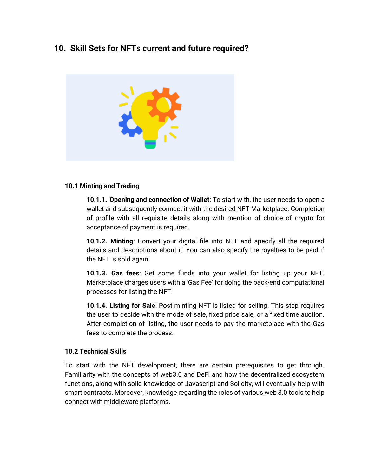# **10. Skill Sets for NFTs current and future required?**



#### **10.1 Minting and Trading**

**10.1.1. Opening and connection of Wallet**: To start with, the user needs to open a wallet and subsequently connect it with the desired NFT Marketplace. Completion of profile with all requisite details along with mention of choice of crypto for acceptance of payment is required.

**10.1.2. Minting**: Convert your digital file into NFT and specify all the required details and descriptions about it. You can also specify the royalties to be paid if the NFT is sold again.

**10.1.3. Gas fees**: Get some funds into your wallet for listing up your NFT. Marketplace charges users with a 'Gas Fee' for doing the back-end computational processes for listing the NFT.

**10.1.4. Listing for Sale**: Post-minting NFT is listed for selling. This step requires the user to decide with the mode of sale, fixed price sale, or a fixed time auction. After completion of listing, the user needs to pay the marketplace with the Gas fees to complete the process.

#### **10.2 Technical Skills**

To start with the NFT development, there are certain prerequisites to get through. Familiarity with the concepts of web3.0 and DeFi and how the decentralized ecosystem functions, along with solid knowledge of Javascript and Solidity, will eventually help with smart contracts. Moreover, knowledge regarding the roles of various web 3.0 tools to help connect with middleware platforms.